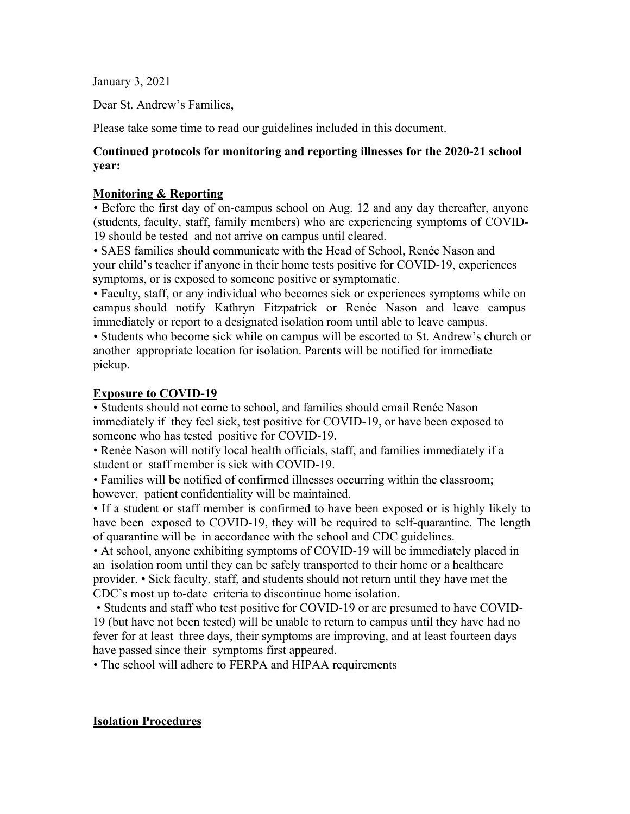January 3, 2021

Dear St. Andrew's Families,

Please take some time to read our guidelines included in this document.

#### **Continued protocols for monitoring and reporting illnesses for the 2020-21 school year:**

#### **Monitoring & Reporting**

• Before the first day of on-campus school on Aug. 12 and any day thereafter, anyone (students, faculty, staff, family members) who are experiencing symptoms of COVID-19 should be tested and not arrive on campus until cleared.

• SAES families should communicate with the Head of School, Renée Nason and your child's teacher if anyone in their home tests positive for COVID-19, experiences symptoms, or is exposed to someone positive or symptomatic.

• Faculty, staff, or any individual who becomes sick or experiences symptoms while on campus should notify Kathryn Fitzpatrick or Renée Nason and leave campus immediately or report to a designated isolation room until able to leave campus.

• Students who become sick while on campus will be escorted to St. Andrew's church or another appropriate location for isolation. Parents will be notified for immediate pickup.

#### **Exposure to COVID-19**

• Students should not come to school, and families should email Renée Nason immediately if they feel sick, test positive for COVID-19, or have been exposed to someone who has tested positive for COVID-19.

• Renée Nason will notify local health officials, staff, and families immediately if a student or staff member is sick with COVID-19.

• Families will be notified of confirmed illnesses occurring within the classroom; however, patient confidentiality will be maintained.

• If a student or staff member is confirmed to have been exposed or is highly likely to have been exposed to COVID-19, they will be required to self-quarantine. The length of quarantine will be in accordance with the school and CDC guidelines.

• At school, anyone exhibiting symptoms of COVID-19 will be immediately placed in an isolation room until they can be safely transported to their home or a healthcare provider. • Sick faculty, staff, and students should not return until they have met the CDC's most up to-date criteria to discontinue home isolation.

• Students and staff who test positive for COVID-19 or are presumed to have COVID-19 (but have not been tested) will be unable to return to campus until they have had no fever for at least three days, their symptoms are improving, and at least fourteen days have passed since their symptoms first appeared.

• The school will adhere to FERPA and HIPAA requirements

#### **Isolation Procedures**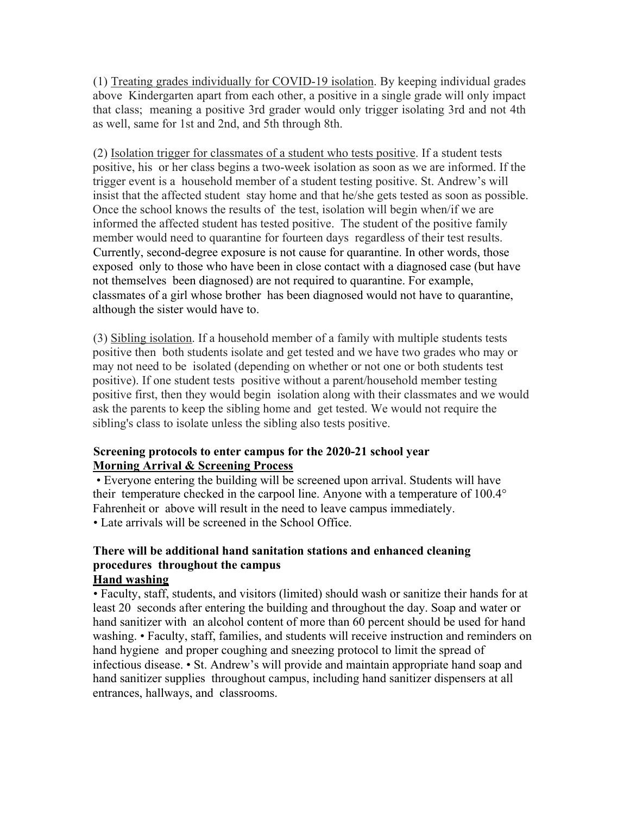(1) Treating grades individually for COVID-19 isolation. By keeping individual grades above Kindergarten apart from each other, a positive in a single grade will only impact that class; meaning a positive 3rd grader would only trigger isolating 3rd and not 4th as well, same for 1st and 2nd, and 5th through 8th.

(2) Isolation trigger for classmates of a student who tests positive. If a student tests positive, his or her class begins a two-week isolation as soon as we are informed. If the trigger event is a household member of a student testing positive. St. Andrew's will insist that the affected student stay home and that he/she gets tested as soon as possible. Once the school knows the results of the test, isolation will begin when/if we are informed the affected student has tested positive. The student of the positive family member would need to quarantine for fourteen days regardless of their test results. Currently, second-degree exposure is not cause for quarantine. In other words, those exposed only to those who have been in close contact with a diagnosed case (but have not themselves been diagnosed) are not required to quarantine. For example, classmates of a girl whose brother has been diagnosed would not have to quarantine, although the sister would have to.

(3) Sibling isolation. If a household member of a family with multiple students tests positive then both students isolate and get tested and we have two grades who may or may not need to be isolated (depending on whether or not one or both students test positive). If one student tests positive without a parent/household member testing positive first, then they would begin isolation along with their classmates and we would ask the parents to keep the sibling home and get tested. We would not require the sibling's class to isolate unless the sibling also tests positive.

#### **Screening protocols to enter campus for the 2020-21 school year Morning Arrival & Screening Process**

• Everyone entering the building will be screened upon arrival. Students will have their temperature checked in the carpool line. Anyone with a temperature of 100.4° Fahrenheit or above will result in the need to leave campus immediately. • Late arrivals will be screened in the School Office.

# **There will be additional hand sanitation stations and enhanced cleaning procedures throughout the campus**

# **Hand washing**

• Faculty, staff, students, and visitors (limited) should wash or sanitize their hands for at least 20 seconds after entering the building and throughout the day. Soap and water or hand sanitizer with an alcohol content of more than 60 percent should be used for hand washing. • Faculty, staff, families, and students will receive instruction and reminders on hand hygiene and proper coughing and sneezing protocol to limit the spread of infectious disease. • St. Andrew's will provide and maintain appropriate hand soap and hand sanitizer supplies throughout campus, including hand sanitizer dispensers at all entrances, hallways, and classrooms.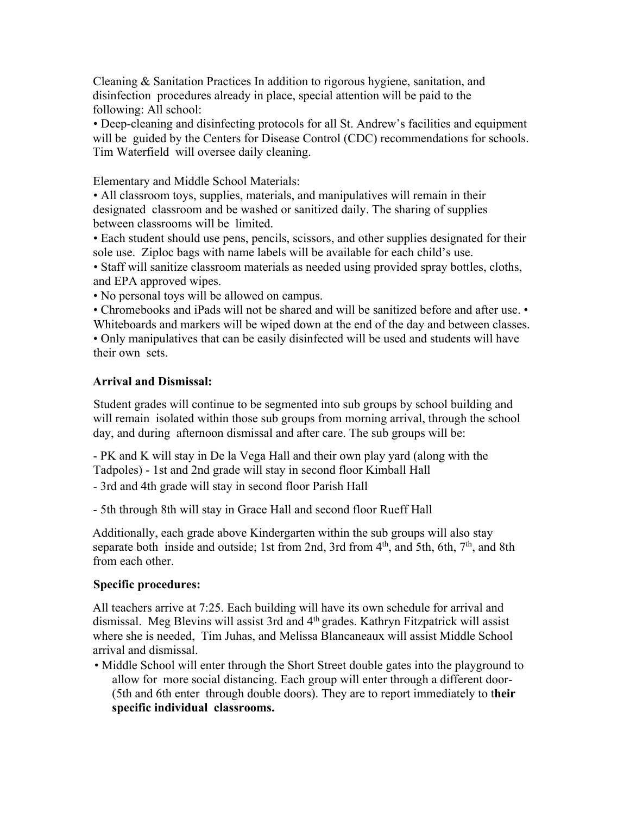Cleaning & Sanitation Practices In addition to rigorous hygiene, sanitation, and disinfection procedures already in place, special attention will be paid to the following: All school:

• Deep-cleaning and disinfecting protocols for all St. Andrew's facilities and equipment will be guided by the Centers for Disease Control (CDC) recommendations for schools. Tim Waterfield will oversee daily cleaning.

Elementary and Middle School Materials:

• All classroom toys, supplies, materials, and manipulatives will remain in their designated classroom and be washed or sanitized daily. The sharing of supplies between classrooms will be limited.

• Each student should use pens, pencils, scissors, and other supplies designated for their sole use. Ziploc bags with name labels will be available for each child's use.

• Staff will sanitize classroom materials as needed using provided spray bottles, cloths, and EPA approved wipes.

• No personal toys will be allowed on campus.

• Chromebooks and iPads will not be shared and will be sanitized before and after use. • Whiteboards and markers will be wiped down at the end of the day and between classes. • Only manipulatives that can be easily disinfected will be used and students will have their own sets.

## **Arrival and Dismissal:**

Student grades will continue to be segmented into sub groups by school building and will remain isolated within those sub groups from morning arrival, through the school day, and during afternoon dismissal and after care. The sub groups will be:

- PK and K will stay in De la Vega Hall and their own play yard (along with the Tadpoles) - 1st and 2nd grade will stay in second floor Kimball Hall

- 3rd and 4th grade will stay in second floor Parish Hall

- 5th through 8th will stay in Grace Hall and second floor Rueff Hall

Additionally, each grade above Kindergarten within the sub groups will also stay separate both inside and outside; 1st from 2nd, 3rd from  $4<sup>th</sup>$ , and 5th, 6th,  $7<sup>th</sup>$ , and 8th from each other.

## **Specific procedures:**

All teachers arrive at 7:25. Each building will have its own schedule for arrival and dismissal. Meg Blevins will assist 3rd and 4th grades. Kathryn Fitzpatrick will assist where she is needed, Tim Juhas, and Melissa Blancaneaux will assist Middle School arrival and dismissal.

• Middle School will enter through the Short Street double gates into the playground to allow for more social distancing. Each group will enter through a different door- (5th and 6th enter through double doors). They are to report immediately to t**heir specific individual classrooms.**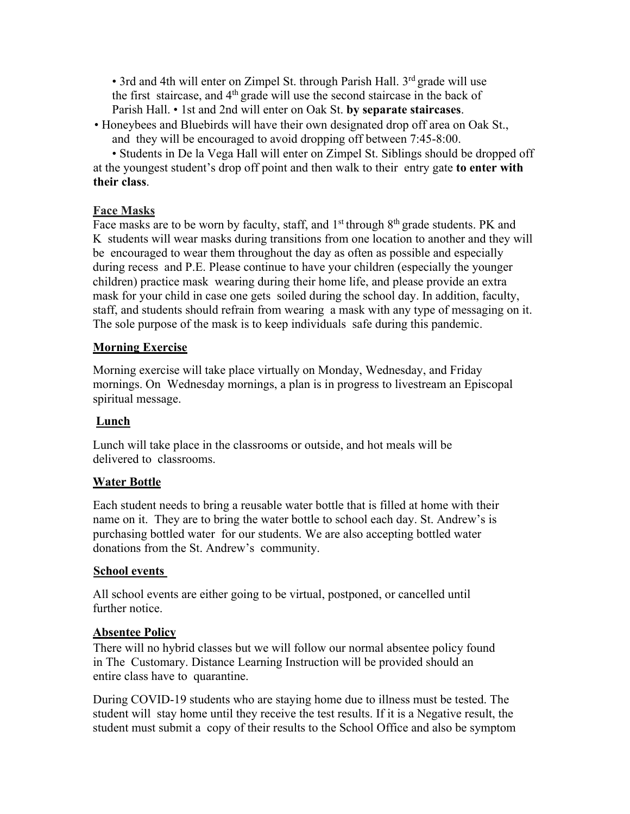• 3rd and 4th will enter on Zimpel St. through Parish Hall. 3<sup>rd</sup> grade will use the first staircase, and  $4<sup>th</sup>$  grade will use the second staircase in the back of Parish Hall. • 1st and 2nd will enter on Oak St. **by separate staircases**.

• Honeybees and Bluebirds will have their own designated drop off area on Oak St., and they will be encouraged to avoid dropping off between 7:45-8:00.

• Students in De la Vega Hall will enter on Zimpel St. Siblings should be dropped off at the youngest student's drop off point and then walk to their entry gate **to enter with their class**.

## **Face Masks**

Face masks are to be worn by faculty, staff, and 1<sup>st</sup> through 8<sup>th</sup> grade students. PK and K students will wear masks during transitions from one location to another and they will be encouraged to wear them throughout the day as often as possible and especially during recess and P.E. Please continue to have your children (especially the younger children) practice mask wearing during their home life, and please provide an extra mask for your child in case one gets soiled during the school day. In addition, faculty, staff, and students should refrain from wearing a mask with any type of messaging on it. The sole purpose of the mask is to keep individuals safe during this pandemic.

## **Morning Exercise**

Morning exercise will take place virtually on Monday, Wednesday, and Friday mornings. On Wednesday mornings, a plan is in progress to livestream an Episcopal spiritual message.

# **Lunch**

Lunch will take place in the classrooms or outside, and hot meals will be delivered to classrooms.

## **Water Bottle**

Each student needs to bring a reusable water bottle that is filled at home with their name on it. They are to bring the water bottle to school each day. St. Andrew's is purchasing bottled water for our students. We are also accepting bottled water donations from the St. Andrew's community.

## **School events**

All school events are either going to be virtual, postponed, or cancelled until further notice.

## **Absentee Policy**

There will no hybrid classes but we will follow our normal absentee policy found in The Customary. Distance Learning Instruction will be provided should an entire class have to quarantine.

During COVID-19 students who are staying home due to illness must be tested. The student will stay home until they receive the test results. If it is a Negative result, the student must submit a copy of their results to the School Office and also be symptom